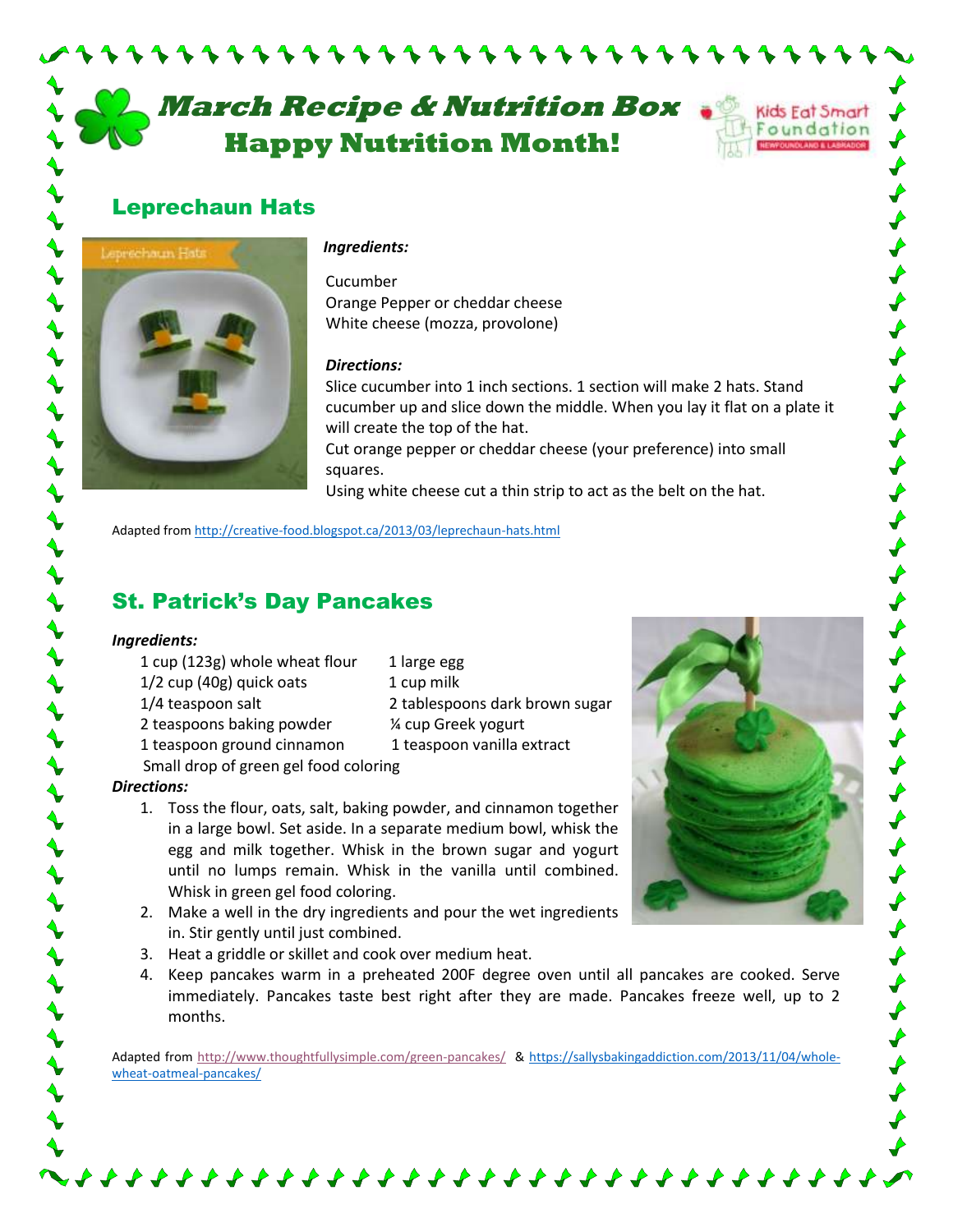# **March Recipe & Nutrition Box** **Happy Nutrition Month!**

,,,,,,,,,,,,,,,,,,,



### Leprechaun Hats



#### *Ingredients:*

Cucumber Orange Pepper or cheddar cheese White cheese (mozza, provolone)

### *Directions:*

Slice cucumber into 1 inch sections. 1 section will make 2 hats. Stand cucumber up and slice down the middle. When you lay it flat on a plate it will create the top of the hat.

Cut orange pepper or cheddar cheese (your preference) into small squares.

Using white cheese cut a thin strip to act as the belt on the hat.

Adapted from<http://creative-food.blogspot.ca/2013/03/leprechaun-hats.html>

### St. Patrick's Day Pancakes

### *Ingredients:*

- 1 cup (123g) whole wheat flour 1 large egg 1/2 cup (40g) quick oats 1 cup milk
	-
- 1/4 teaspoon salt 2 tablespoons dark brown sugar
- 2 teaspoons baking powder ¼ cup Greek yogurt
- 1 teaspoon ground cinnamon 1 teaspoon vanilla extract
- Small drop of green gel food coloring

### *Directions:*

- 1. Toss the flour, oats, salt, baking powder, and cinnamon together in a large bowl. Set aside. In a separate medium bowl, whisk the egg and milk together. Whisk in the brown sugar and yogurt until no lumps remain. Whisk in the vanilla until combined. Whisk in green gel food coloring.
- 2. Make a well in the dry ingredients and pour the wet ingredients in. Stir gently until just combined.
- 3. Heat a griddle or skillet and cook over medium heat.
- 4. Keep pancakes warm in a preheated 200F degree oven until all pancakes are cooked. Serve immediately. Pancakes taste best right after they are made. Pancakes freeze well, up to 2 months.

Adapted from<http://www.thoughtfullysimple.com/green-pancakes/> & [https://sallysbakingaddiction.com/2013/11/04/whole](https://sallysbakingaddiction.com/2013/11/04/whole-wheat-oatmeal-pancakes/)[wheat-oatmeal-pancakes/](https://sallysbakingaddiction.com/2013/11/04/whole-wheat-oatmeal-pancakes/)